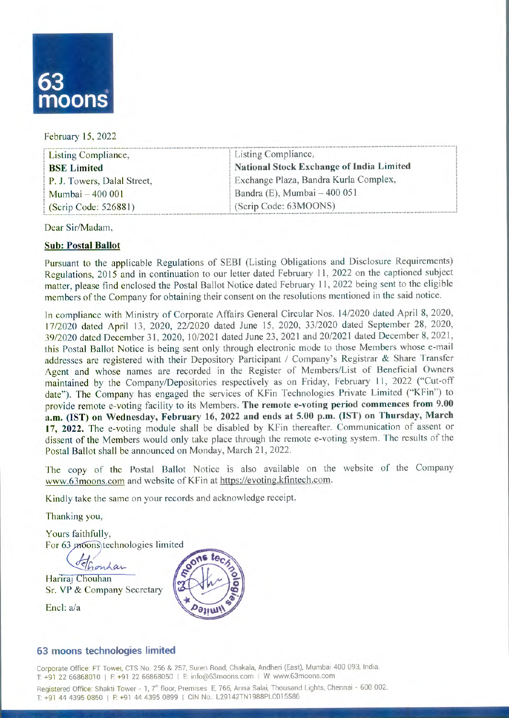

#### February 15, 2022

| Listing Compliance,         | Listing Compliance,                      |  |  |
|-----------------------------|------------------------------------------|--|--|
| <b>BSE</b> Limited          | National Stock Exchange of India Limited |  |  |
| P. J. Towers, Dalal Street, | Exchange Plaza, Bandra Kurla Complex,    |  |  |
| Mumbai - 400 001            | Bandra (E), Mumbai $-400051$             |  |  |
| (Scrip Code: 526881)        | (Scrip Code: 63MOONS)                    |  |  |

Dear Sir/Madam,

### **Sub:Postal Ballot**

Pursuant to the applicable Regulations of SEBI (Listing Obligations and Disclosure Requirements) Regulations, 2015 and in continuation to our letter dated February 11, 2022 on the captioned subject matter, please find enclosed the Postal Ballot Notice dated February 11, 2022 being sent to the eligible members of the Company for obtaining their consent on the resolutions mentioned in the said notice.

In compliance with Ministry of Corporate Affairs General Circular Nos. 14/2020 dated April 8, 2020, 17/2020 dated April 13, 2020, 22/2020 dated June 15, 2020, 33/2020 dated September 28, 2020, 39/2020 dated December 31, 2020, 10/2021 dated June 23, 2021 and 20/2021 dated December 8, 2021, this Postal Ballot Notice is being sent only through electronic mode to those Members whose e-mail addresses are registered with their Depository Participant / Company's Registrar & Share Transfer Agent and whose names are recorded in the Register of Members/List of Beneficial Owners maintained by the Company/Depositories respectively as on Friday, February 11, 2022 ("Cut-off date"). The Company has engaged the services of KFin Technologies Private Limited ("KFin") to provide remote e-voting facility to its Members. The remote e-voting period commences from 9.00 **a.m.(IST) onWednesday,February 16, 2022 and endsat5.00 p.m. (1ST) on Thursday, March 17,2022.** The e-voting module shall be disabled by KFin thereafter. Communication of assent or dissent of the Members would only take place through the remote e-voting system. The results of the Postal Ballot shall be announced on Monday, March 21, 2022.

The copy of the Postal Ballot Notice is also available on the website of the Company www.63moons.com and website of KFin at https://evoting.kfintech.com.

Kindly take the same on your records and acknowledge receipt.

Thanking you,

Yours faithfully, For 63 *moons* technologies limited

Shonhar

Hariraj Chouhan Sr. VP & Company Secretary

Encl:a/a



## **63 moons technologies limited**

Corporate Office: FT Tower, CTS No. 256 & 257, Suren Road, Chakala, Andheri (East), Mumbai 400 093, India. T: +91 22 66868010 | F: +91 22 66868050 | E: info@63moons.com | W: www.63moons.com

Registered Office: Shakti Tower - 1, 7<sup>th</sup> floor, Premises E, 766, Anna Salai, Thousand Lights, Chennai - 600 002. T: +91 44 4395 0850 | F: +91 44 4395 0899 | CIN No.: L29142TN1988PLC015586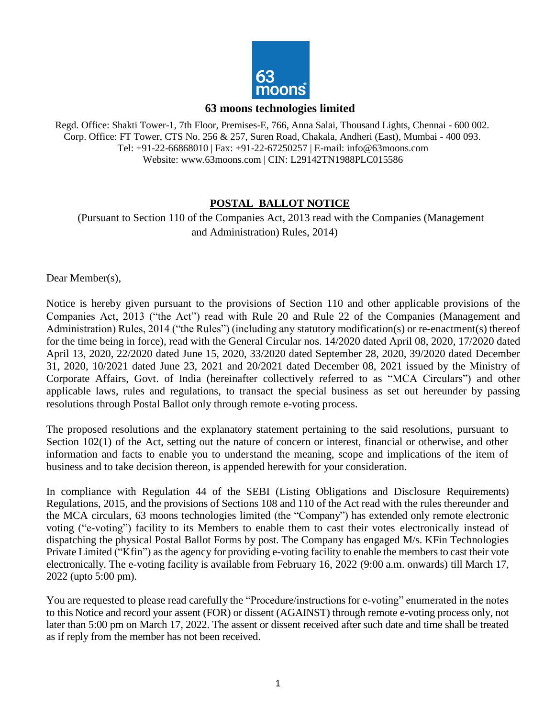

#### **63 moons technologies limited**

Regd. Office: Shakti Tower-1, 7th Floor, Premises-E, 766, Anna Salai, Thousand Lights, Chennai - 600 002. Corp. Office: FT Tower, CTS No. 256 & 257, Suren Road, Chakala, Andheri (East), Mumbai - 400 093. Tel: +91-22-66868010 | Fax: +91-22-67250257 | E-mail[: info@63moons.com](mailto:info@63moons.com) Website: [www.63moons.com |](http://www.63moons.com/) CIN: L29142TN1988PLC015586

## **POSTAL BALLOT NOTICE**

(Pursuant to Section 110 of the Companies Act, 2013 read with the Companies (Management and Administration) Rules, 2014)

Dear Member(s),

Notice is hereby given pursuant to the provisions of Section 110 and other applicable provisions of the Companies Act, 2013 ("the Act") read with Rule 20 and Rule 22 of the Companies (Management and Administration) Rules, 2014 ("the Rules") (including any statutory modification(s) or re-enactment(s) thereof for the time being in force), read with the General Circular nos. 14/2020 dated April 08, 2020, 17/2020 dated April 13, 2020, 22/2020 dated June 15, 2020, 33/2020 dated September 28, 2020, 39/2020 dated December 31, 2020, 10/2021 dated June 23, 2021 and 20/2021 dated December 08, 2021 issued by the Ministry of Corporate Affairs, Govt. of India (hereinafter collectively referred to as "MCA Circulars") and other applicable laws, rules and regulations, to transact the special business as set out hereunder by passing resolutions through Postal Ballot only through remote e-voting process.

The proposed resolutions and the explanatory statement pertaining to the said resolutions, pursuant to Section 102(1) of the Act, setting out the nature of concern or interest, financial or otherwise, and other information and facts to enable you to understand the meaning, scope and implications of the item of business and to take decision thereon, is appended herewith for your consideration.

In compliance with Regulation 44 of the SEBI (Listing Obligations and Disclosure Requirements) Regulations, 2015, and the provisions of Sections 108 and 110 of the Act read with the rules thereunder and the MCA circulars, 63 moons technologies limited (the "Company") has extended only remote electronic voting ("e-voting") facility to its Members to enable them to cast their votes electronically instead of dispatching the physical Postal Ballot Forms by post. The Company has engaged M/s. KFin Technologies Private Limited ("Kfin") as the agency for providing e-voting facility to enable the members to cast their vote electronically. The e-voting facility is available from February 16, 2022 (9:00 a.m. onwards) till March 17, 2022 (upto 5:00 pm).

You are requested to please read carefully the "Procedure/instructions for e-voting" enumerated in the notes to this Notice and record your assent (FOR) or dissent (AGAINST) through remote e-voting process only, not later than 5:00 pm on March 17, 2022. The assent or dissent received after such date and time shall be treated as if reply from the member has not been received.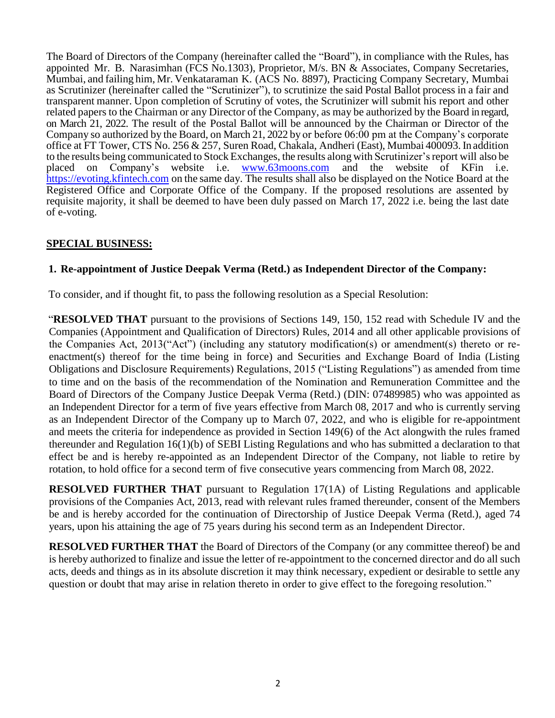The Board of Directors of the Company (hereinafter called the "Board"), in compliance with the Rules, has appointed Mr. B. Narasimhan (FCS No.1303), Proprietor, M/s. BN & Associates, Company Secretaries, Mumbai, and failing him, Mr. Venkataraman K. (ACS No. 8897), Practicing Company Secretary, Mumbai as Scrutinizer (hereinafter called the "Scrutinizer"), to scrutinize the said Postal Ballot process in a fair and transparent manner. Upon completion of Scrutiny of votes, the Scrutinizer will submit his report and other related papers to the Chairman or any Director of the Company, as may be authorized by the Board in regard, on March 21, 2022. The result of the Postal Ballot will be announced by the Chairman or Director of the Company so authorized by the Board, on March 21, 2022 by or before 06:00 pm at the Company's corporate office at FT Tower, CTS No. 256 & 257, Suren Road, Chakala, Andheri (East), Mumbai 400093.In addition to the results being communicated to Stock Exchanges, the results along with Scrutinizer'sreport will also be placed on Company's website i.e. www.63moons.com and the website of KFin i.e. [https://evoting.kfintech.com](https://evoting.kfintech.com/) on the same day. The results shall also be displayed on the Notice Board at the Registered Office and Corporate Office of the Company. If the proposed resolutions are assented by requisite majority, it shall be deemed to have been duly passed on March 17, 2022 i.e. being the last date of e-voting.

## **SPECIAL BUSINESS:**

## **1. Re-appointment of Justice Deepak Verma (Retd.) as Independent Director of the Company:**

To consider, and if thought fit, to pass the following resolution as a Special Resolution:

"**RESOLVED THAT** pursuant to the provisions of Sections 149, 150, 152 read with Schedule IV and the Companies (Appointment and Qualification of Directors) Rules, 2014 and all other applicable provisions of the Companies Act, 2013("Act") (including any statutory modification(s) or amendment(s) thereto or reenactment(s) thereof for the time being in force) and Securities and Exchange Board of India (Listing Obligations and Disclosure Requirements) Regulations, 2015 ("Listing Regulations") as amended from time to time and on the basis of the recommendation of the Nomination and Remuneration Committee and the Board of Directors of the Company Justice Deepak Verma (Retd.) (DIN: 07489985) who was appointed as an Independent Director for a term of five years effective from March 08, 2017 and who is currently serving as an Independent Director of the Company up to March 07, 2022, and who is eligible for re-appointment and meets the criteria for independence as provided in Section 149(6) of the Act alongwith the rules framed thereunder and Regulation 16(1)(b) of SEBI Listing Regulations and who has submitted a declaration to that effect be and is hereby re-appointed as an Independent Director of the Company, not liable to retire by rotation, to hold office for a second term of five consecutive years commencing from March 08, 2022.

**RESOLVED FURTHER THAT** pursuant to Regulation 17(1A) of Listing Regulations and applicable provisions of the Companies Act, 2013, read with relevant rules framed thereunder, consent of the Members be and is hereby accorded for the continuation of Directorship of Justice Deepak Verma (Retd.), aged 74 years, upon his attaining the age of 75 years during his second term as an Independent Director.

**RESOLVED FURTHER THAT** the Board of Directors of the Company (or any committee thereof) be and is hereby authorized to finalize and issue the letter of re-appointment to the concerned director and do all such acts, deeds and things as in its absolute discretion it may think necessary, expedient or desirable to settle any question or doubt that may arise in relation thereto in order to give effect to the foregoing resolution."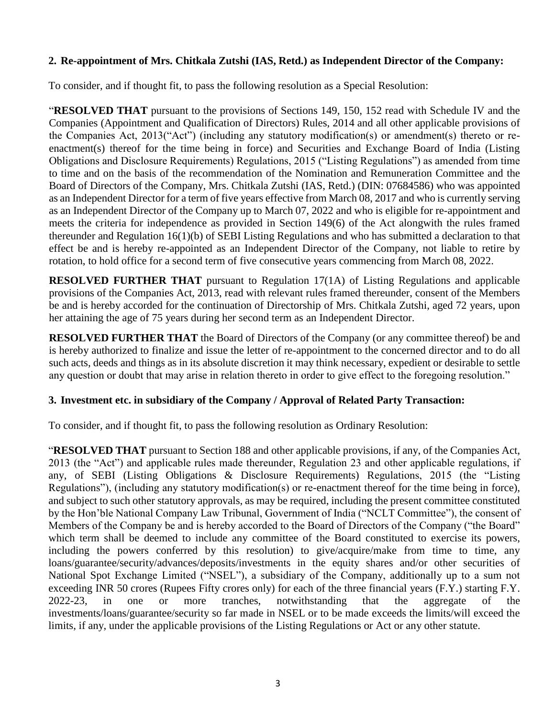## **2. Re-appointment of Mrs. Chitkala Zutshi (IAS, Retd.) as Independent Director of the Company:**

To consider, and if thought fit, to pass the following resolution as a Special Resolution:

"**RESOLVED THAT** pursuant to the provisions of Sections 149, 150, 152 read with Schedule IV and the Companies (Appointment and Qualification of Directors) Rules, 2014 and all other applicable provisions of the Companies Act, 2013("Act") (including any statutory modification(s) or amendment(s) thereto or reenactment(s) thereof for the time being in force) and Securities and Exchange Board of India (Listing Obligations and Disclosure Requirements) Regulations, 2015 ("Listing Regulations") as amended from time to time and on the basis of the recommendation of the Nomination and Remuneration Committee and the Board of Directors of the Company, Mrs. Chitkala Zutshi (IAS, Retd.) (DIN: 07684586) who was appointed as an Independent Director for a term of five years effective from March 08, 2017 and who is currently serving as an Independent Director of the Company up to March 07, 2022 and who is eligible for re-appointment and meets the criteria for independence as provided in Section 149(6) of the Act alongwith the rules framed thereunder and Regulation 16(1)(b) of SEBI Listing Regulations and who has submitted a declaration to that effect be and is hereby re-appointed as an Independent Director of the Company, not liable to retire by rotation, to hold office for a second term of five consecutive years commencing from March 08, 2022.

**RESOLVED FURTHER THAT** pursuant to Regulation 17(1A) of Listing Regulations and applicable provisions of the Companies Act, 2013, read with relevant rules framed thereunder, consent of the Members be and is hereby accorded for the continuation of Directorship of Mrs. Chitkala Zutshi, aged 72 years, upon her attaining the age of 75 years during her second term as an Independent Director.

**RESOLVED FURTHER THAT** the Board of Directors of the Company (or any committee thereof) be and is hereby authorized to finalize and issue the letter of re-appointment to the concerned director and to do all such acts, deeds and things as in its absolute discretion it may think necessary, expedient or desirable to settle any question or doubt that may arise in relation thereto in order to give effect to the foregoing resolution."

## **3. Investment etc. in subsidiary of the Company / Approval of Related Party Transaction:**

To consider, and if thought fit, to pass the following resolution as Ordinary Resolution:

"**RESOLVED THAT** pursuant to Section 188 and other applicable provisions, if any, of the Companies Act, 2013 (the "Act") and applicable rules made thereunder, Regulation 23 and other applicable regulations, if any, of SEBI (Listing Obligations & Disclosure Requirements) Regulations, 2015 (the "Listing Regulations"), (including any statutory modification(s) or re-enactment thereof for the time being in force), and subject to such other statutory approvals, as may be required, including the present committee constituted by the Hon'ble National Company Law Tribunal, Government of India ("NCLT Committee"), the consent of Members of the Company be and is hereby accorded to the Board of Directors of the Company ("the Board" which term shall be deemed to include any committee of the Board constituted to exercise its powers, including the powers conferred by this resolution) to give/acquire/make from time to time, any loans/guarantee/security/advances/deposits/investments in the equity shares and/or other securities of National Spot Exchange Limited ("NSEL"), a subsidiary of the Company, additionally up to a sum not exceeding INR 50 crores (Rupees Fifty crores only) for each of the three financial years (F.Y.) starting F.Y. 2022-23, in one or more tranches, notwithstanding that the aggregate of the investments/loans/guarantee/security so far made in NSEL or to be made exceeds the limits/will exceed the limits, if any, under the applicable provisions of the Listing Regulations or Act or any other statute.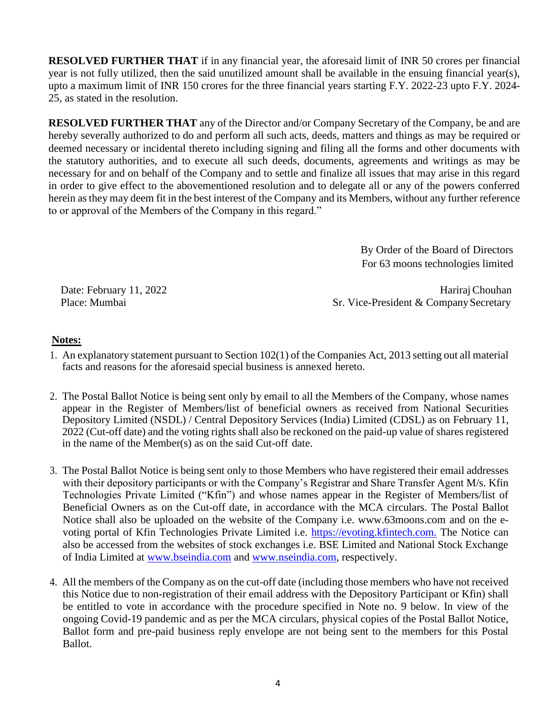**RESOLVED FURTHER THAT** if in any financial year, the aforesaid limit of INR 50 crores per financial year is not fully utilized, then the said unutilized amount shall be available in the ensuing financial year(s), upto a maximum limit of INR 150 crores for the three financial years starting F.Y. 2022-23 upto F.Y. 2024- 25, as stated in the resolution.

**RESOLVED FURTHER THAT** any of the Director and/or Company Secretary of the Company, be and are hereby severally authorized to do and perform all such acts, deeds, matters and things as may be required or deemed necessary or incidental thereto including signing and filing all the forms and other documents with the statutory authorities, and to execute all such deeds, documents, agreements and writings as may be necessary for and on behalf of the Company and to settle and finalize all issues that may arise in this regard in order to give effect to the abovementioned resolution and to delegate all or any of the powers conferred herein as they may deem fit in the best interest of the Company and its Members, without any further reference to or approval of the Members of the Company in this regard."

> By Order of the Board of Directors For 63 moons technologies limited

Date: February 11, 2022 Hariraj Chouhan Place: Mumbai Sr. Vice-President & Company Secretary

## **Notes:**

- 1. An explanatory statement pursuant to Section 102(1) of the Companies Act, 2013 setting out all material facts and reasons for the aforesaid special business is annexed hereto.
- 2. The Postal Ballot Notice is being sent only by email to all the Members of the Company, whose names appear in the Register of Members/list of beneficial owners as received from National Securities Depository Limited (NSDL) / Central Depository Services (India) Limited (CDSL) as on February 11, 2022 (Cut-off date) and the voting rights shall also be reckoned on the paid-up value of shares registered in the name of the Member(s) as on the said Cut-off date.
- 3. The Postal Ballot Notice is being sent only to those Members who have registered their email addresses with their depository participants or with the Company's Registrar and Share Transfer Agent M/s. Kfin Technologies Private Limited ("Kfin") and whose names appear in the Register of Members/list of Beneficial Owners as on the Cut-off date, in accordance with the MCA circulars. The Postal Ballot Notice shall also be uploaded on the website of the Company i.e. www.63moons.com and on the evoting portal of Kfin Technologies Private Limited i.e. [https://evoting.kfintech.com.](https://evoting.kfintech.com./) The Notice can also be accessed from the websites of stock exchanges i.e. BSE Limited and National Stock Exchange of India Limited at [www.bseindia.com](http://www.bseindia.com/) and [www.nseindia.com,](http://www.nseindia.com/) respectively.
- 4. All the members of the Company as on the cut-off date (including those members who have not received this Notice due to non-registration of their email address with the Depository Participant or Kfin) shall be entitled to vote in accordance with the procedure specified in Note no. 9 below. In view of the ongoing Covid-19 pandemic and as per the MCA circulars, physical copies of the Postal Ballot Notice, Ballot form and pre-paid business reply envelope are not being sent to the members for this Postal Ballot.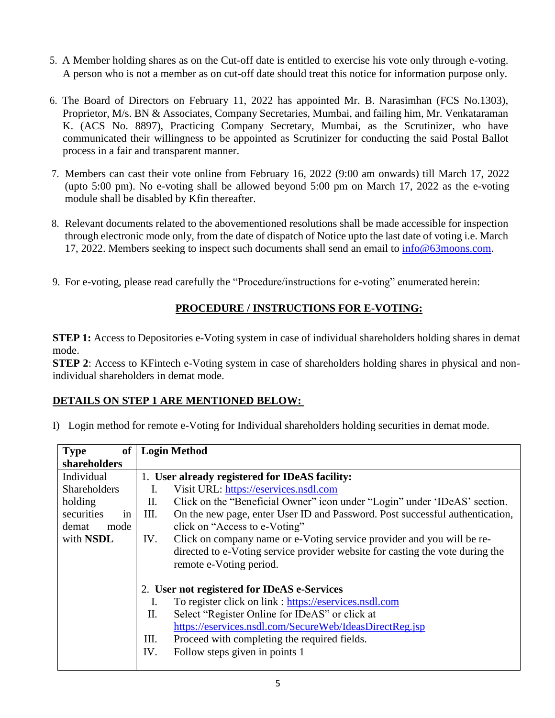- 5. A Member holding shares as on the Cut-off date is entitled to exercise his vote only through e-voting. A person who is not a member as on cut-off date should treat this notice for information purpose only.
- 6. The Board of Directors on February 11, 2022 has appointed Mr. B. Narasimhan (FCS No.1303), Proprietor, M/s. BN & Associates, Company Secretaries, Mumbai, and failing him, Mr. Venkataraman K. (ACS No. 8897), Practicing Company Secretary, Mumbai, as the Scrutinizer, who have communicated their willingness to be appointed as Scrutinizer for conducting the said Postal Ballot process in a fair and transparent manner.
- 7. Members can cast their vote online from February 16, 2022 (9:00 am onwards) till March 17, 2022 (upto 5:00 pm). No e-voting shall be allowed beyond 5:00 pm on March 17, 2022 as the e-voting module shall be disabled by Kfin thereafter.
- 8. Relevant documents related to the abovementioned resolutions shall be made accessible for inspection through electronic mode only, from the date of dispatch of Notice upto the last date of voting i.e. March 17, 2022. Members seeking to inspect such documents shall send an email to  $\frac{info@63moons.com}{info@63moons.com}$ .
- 9. For e-voting, please read carefully the "Procedure/instructions for e-voting" enumerated herein:

## **PROCEDURE / INSTRUCTIONS FOR E-VOTING:**

**STEP 1:** Access to Depositories e-Voting system in case of individual shareholders holding shares in demat mode.

**STEP 2**: Access to KFintech e-Voting system in case of shareholders holding shares in physical and nonindividual shareholders in demat mode.

## **DETAILS ON STEP 1 ARE MENTIONED BELOW:**

| <b>Type</b><br>of   | <b>Login Method</b>                                                                  |  |  |  |  |
|---------------------|--------------------------------------------------------------------------------------|--|--|--|--|
| shareholders        |                                                                                      |  |  |  |  |
| Individual          | 1. User already registered for IDeAS facility:                                       |  |  |  |  |
| <b>Shareholders</b> | Visit URL: https://eservices.nsdl.com<br>Ι.                                          |  |  |  |  |
| holding             | Click on the "Beneficial Owner" icon under "Login" under 'IDeAS' section.<br>П.      |  |  |  |  |
| securities<br>in    | On the new page, enter User ID and Password. Post successful authentication,<br>III. |  |  |  |  |
| demat<br>mode       | click on "Access to e-Voting"                                                        |  |  |  |  |
| with <b>NSDL</b>    | Click on company name or e-Voting service provider and you will be re-<br>IV.        |  |  |  |  |
|                     | directed to e-Voting service provider website for casting the vote during the        |  |  |  |  |
|                     | remote e-Voting period.                                                              |  |  |  |  |
|                     | 2. User not registered for IDeAS e-Services                                          |  |  |  |  |
|                     | To register click on link : https://eservices.nsdl.com<br>Ι.                         |  |  |  |  |
|                     | Select "Register Online for IDeAS" or click at<br>II.                                |  |  |  |  |
|                     | https://eservices.nsdl.com/SecureWeb/IdeasDirectReg.jsp                              |  |  |  |  |
|                     | Proceed with completing the required fields.<br>Ш.                                   |  |  |  |  |
|                     | Follow steps given in points 1<br>IV.                                                |  |  |  |  |
|                     |                                                                                      |  |  |  |  |

I) Login method for remote e-Voting for Individual shareholders holding securities in demat mode.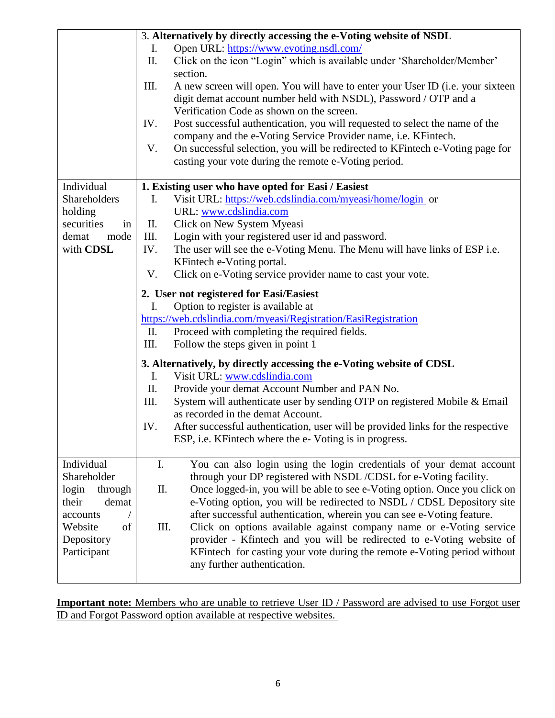|                  |      | 3. Alternatively by directly accessing the e-Voting website of NSDL                                                  |  |  |  |  |
|------------------|------|----------------------------------------------------------------------------------------------------------------------|--|--|--|--|
|                  | I.   | Open URL: https://www.evoting.nsdl.com/                                                                              |  |  |  |  |
|                  | Π.   | Click on the icon "Login" which is available under 'Shareholder/Member'<br>section.                                  |  |  |  |  |
|                  | III. | A new screen will open. You will have to enter your User ID (i.e. your sixteen                                       |  |  |  |  |
|                  |      | digit demat account number held with NSDL), Password / OTP and a<br>Verification Code as shown on the screen.        |  |  |  |  |
|                  | IV.  | Post successful authentication, you will requested to select the name of the                                         |  |  |  |  |
|                  |      | company and the e-Voting Service Provider name, i.e. KFintech.                                                       |  |  |  |  |
|                  | V.   | On successful selection, you will be redirected to KFintech e-Voting page for                                        |  |  |  |  |
|                  |      | casting your vote during the remote e-Voting period.                                                                 |  |  |  |  |
| Individual       |      | 1. Existing user who have opted for Easi / Easiest                                                                   |  |  |  |  |
| Shareholders     | Ι.   | Visit URL: https://web.cdslindia.com/myeasi/home/login or                                                            |  |  |  |  |
| holding          |      | URL: www.cdslindia.com                                                                                               |  |  |  |  |
| securities<br>in | П.   | Click on New System Myeasi                                                                                           |  |  |  |  |
| demat<br>mode    | III. | Login with your registered user id and password.                                                                     |  |  |  |  |
| with CDSL        | IV.  | The user will see the e-Voting Menu. The Menu will have links of ESP i.e.                                            |  |  |  |  |
|                  |      | KFintech e-Voting portal.                                                                                            |  |  |  |  |
|                  | V.   | Click on e-Voting service provider name to cast your vote.                                                           |  |  |  |  |
|                  |      | 2. User not registered for Easi/Easiest                                                                              |  |  |  |  |
|                  | Ι.   | Option to register is available at                                                                                   |  |  |  |  |
|                  |      | https://web.cdslindia.com/myeasi/Registration/EasiRegistration                                                       |  |  |  |  |
|                  | II.  | Proceed with completing the required fields.                                                                         |  |  |  |  |
|                  | III. | Follow the steps given in point 1                                                                                    |  |  |  |  |
|                  |      | 3. Alternatively, by directly accessing the e-Voting website of CDSL                                                 |  |  |  |  |
|                  | I.   | Visit URL: www.cdslindia.com                                                                                         |  |  |  |  |
|                  | II.  | Provide your demat Account Number and PAN No.                                                                        |  |  |  |  |
|                  | Ш.   | System will authenticate user by sending OTP on registered Mobile & Email                                            |  |  |  |  |
|                  | IV.  | as recorded in the demat Account.<br>After successful authentication, user will be provided links for the respective |  |  |  |  |
|                  |      | ESP, i.e. KFintech where the e-Voting is in progress.                                                                |  |  |  |  |
|                  |      |                                                                                                                      |  |  |  |  |
| Individual       | I.   | You can also login using the login credentials of your demat account                                                 |  |  |  |  |
| Shareholder      |      | through your DP registered with NSDL/CDSL for e-Voting facility.                                                     |  |  |  |  |
| login<br>through | Π.   | Once logged-in, you will be able to see e-Voting option. Once you click on                                           |  |  |  |  |
| demat<br>their   |      | e-Voting option, you will be redirected to NSDL / CDSL Depository site                                               |  |  |  |  |
| accounts         |      | after successful authentication, wherein you can see e-Voting feature.                                               |  |  |  |  |
| Website<br>of    | III. | Click on options available against company name or e-Voting service                                                  |  |  |  |  |
| Depository       |      | provider - Kfintech and you will be redirected to e-Voting website of                                                |  |  |  |  |
| Participant      |      | KFintech for casting your vote during the remote e-Voting period without                                             |  |  |  |  |
|                  |      | any further authentication.                                                                                          |  |  |  |  |

**Important note:** Members who are unable to retrieve User ID / Password are advised to use Forgot user ID and Forgot Password option available at respective websites.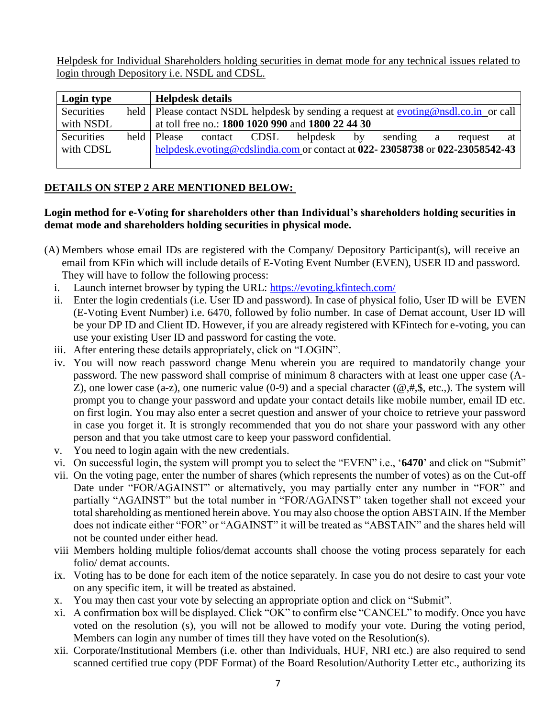Helpdesk for Individual Shareholders holding securities in demat mode for any technical issues related to login through Depository i.e. NSDL and CDSL.

| Login type |               | <b>Helpdesk details</b> |                                                                                        |         |   |         |    |
|------------|---------------|-------------------------|----------------------------------------------------------------------------------------|---------|---|---------|----|
| Securities |               |                         | held   Please contact NSDL helpdesk by sending a request at evoting@nsdl.co.in or call |         |   |         |    |
| with NSDL  |               |                         | at toll free no.: 1800 1020 990 and 1800 22 44 30                                      |         |   |         |    |
| Securities | held   Please | contact CDSL            | helpdesk by                                                                            | sending | a | request | at |
| with CDSL  |               |                         | helpdesk.evoting@cdslindia.com or contact at 022-23058738 or 022-23058542-43           |         |   |         |    |
|            |               |                         |                                                                                        |         |   |         |    |

# **DETAILS ON STEP 2 ARE MENTIONED BELOW:**

## **Login method for e-Voting for shareholders other than Individual's shareholders holding securities in demat mode and shareholders holding securities in physical mode.**

- (A) Members whose email IDs are registered with the Company/ Depository Participant(s), will receive an email from KFin which will include details of E-Voting Event Number (EVEN), USER ID and password. They will have to follow the following process:
	- i. Launch internet browser by typing the URL:<https://evoting.kfintech.com/>
	- ii. Enter the login credentials (i.e. User ID and password). In case of physical folio, User ID will be EVEN (E-Voting Event Number) i.e. 6470, followed by folio number. In case of Demat account, User ID will be your DP ID and Client ID. However, if you are already registered with KFintech for e-voting, you can use your existing User ID and password for casting the vote.
	- iii. After entering these details appropriately, click on "LOGIN".
	- iv. You will now reach password change Menu wherein you are required to mandatorily change your password. The new password shall comprise of minimum 8 characters with at least one upper case (A-Z), one lower case (a-z), one numeric value (0-9) and a special character ( $@, #, \$$ , etc.,). The system will prompt you to change your password and update your contact details like mobile number, email ID etc. on first login. You may also enter a secret question and answer of your choice to retrieve your password in case you forget it. It is strongly recommended that you do not share your password with any other person and that you take utmost care to keep your password confidential.
	- v. You need to login again with the new credentials.
	- vi. On successful login, the system will prompt you to select the "EVEN" i.e., '**6470**' and click on "Submit"
	- vii. On the voting page, enter the number of shares (which represents the number of votes) as on the Cut-off Date under "FOR/AGAINST" or alternatively, you may partially enter any number in "FOR" and partially "AGAINST" but the total number in "FOR/AGAINST" taken together shall not exceed your total shareholding as mentioned herein above. You may also choose the option ABSTAIN. If the Member does not indicate either "FOR" or "AGAINST" it will be treated as "ABSTAIN" and the shares held will not be counted under either head.
	- viii. Members holding multiple folios/demat accounts shall choose the voting process separately for each folio/ demat accounts.
	- ix. Voting has to be done for each item of the notice separately. In case you do not desire to cast your vote on any specific item, it will be treated as abstained.
	- x. You may then cast your vote by selecting an appropriate option and click on "Submit".
	- xi. A confirmation box will be displayed. Click "OK" to confirm else "CANCEL" to modify. Once you have voted on the resolution (s), you will not be allowed to modify your vote. During the voting period, Members can login any number of times till they have voted on the Resolution(s).
	- xii. Corporate/Institutional Members (i.e. other than Individuals, HUF, NRI etc.) are also required to send scanned certified true copy (PDF Format) of the Board Resolution/Authority Letter etc., authorizing its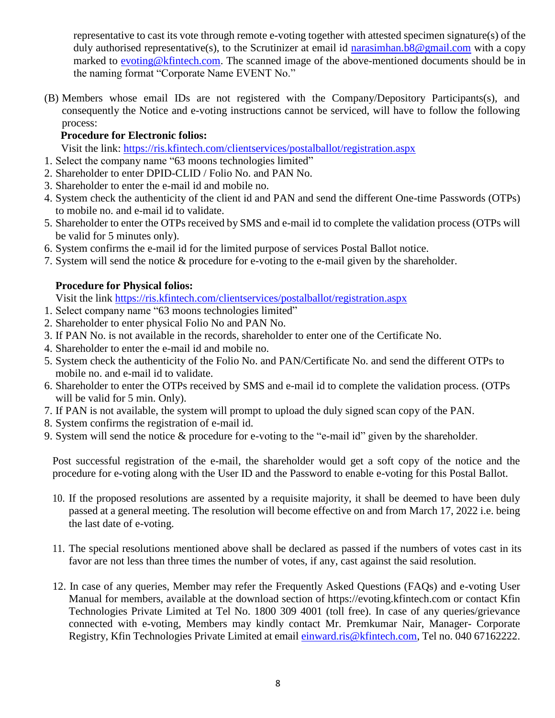representative to cast its vote through remote e-voting together with attested specimen signature(s) of the duly authorised representative(s), to the Scrutinizer at email id [narasimhan.b8@gmail.com](mailto:narasimhan.b8@gmail.com) with a copy marked to [evoting@kfintech.com.](mailto:evoting@kfintech.com) The scanned image of the above-mentioned documents should be in the naming format "Corporate Name EVENT No."

(B) Members whose email IDs are not registered with the Company/Depository Participants(s), and consequently the Notice and e-voting instructions cannot be serviced, will have to follow the following process:

## **Procedure for Electronic folios:**

Visit the link:<https://ris.kfintech.com/clientservices/postalballot/registration.aspx>

- 1. Select the company name "63 moons technologies limited"
- 2. Shareholder to enter DPID-CLID / Folio No. and PAN No.
- 3. Shareholder to enter the e-mail id and mobile no.
- 4. System check the authenticity of the client id and PAN and send the different One-time Passwords (OTPs) to mobile no. and e-mail id to validate.
- 5. Shareholder to enter the OTPs received by SMS and e-mail id to complete the validation process (OTPs will be valid for 5 minutes only).
- 6. System confirms the e-mail id for the limited purpose of services Postal Ballot notice.
- 7. System will send the notice & procedure for e-voting to the e-mail given by the shareholder.

## **Procedure for Physical folios:**

Visit the link<https://ris.kfintech.com/clientservices/postalballot/registration.aspx>

- 1. Select company name "63 moons technologies limited"
- 2. Shareholder to enter physical Folio No and PAN No.
- 3. If PAN No. is not available in the records, shareholder to enter one of the Certificate No.
- 4. Shareholder to enter the e-mail id and mobile no.
- 5. System check the authenticity of the Folio No. and PAN/Certificate No. and send the different OTPs to mobile no. and e-mail id to validate.
- 6. Shareholder to enter the OTPs received by SMS and e-mail id to complete the validation process. (OTPs will be valid for 5 min. Only).
- 7. If PAN is not available, the system will prompt to upload the duly signed scan copy of the PAN.
- 8. System confirms the registration of e-mail id.
- 9. System will send the notice & procedure for e-voting to the "e-mail id" given by the shareholder.

Post successful registration of the e-mail, the shareholder would get a soft copy of the notice and the procedure for e-voting along with the User ID and the Password to enable e-voting for this Postal Ballot.

- 10. If the proposed resolutions are assented by a requisite majority, it shall be deemed to have been duly passed at a general meeting. The resolution will become effective on and from March 17, 2022 i.e. being the last date of e-voting.
- 11. The special resolutions mentioned above shall be declared as passed if the numbers of votes cast in its favor are not less than three times the number of votes, if any, cast against the said resolution.
- 12. In case of any queries, Member may refer the Frequently Asked Questions (FAQs) and e-voting User Manual for members, available at the download section of https://evoting.kfintech.com or contact Kfin Technologies Private Limited at Tel No. 1800 309 4001 (toll free). In case of any queries/grievance connected with e-voting, Members may kindly contact Mr. Premkumar Nair, Manager- Corporate Registry, Kfin Technologies Private Limited at email *einward.ris@kfintech.com*, Tel no. 040 67162222.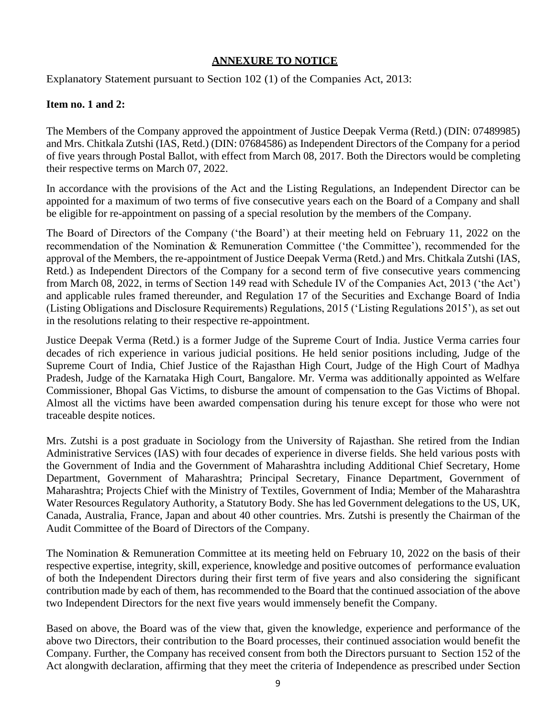### **ANNEXURE TO NOTICE**

Explanatory Statement pursuant to Section 102 (1) of the Companies Act, 2013:

#### **Item no. 1 and 2:**

The Members of the Company approved the appointment of Justice Deepak Verma (Retd.) (DIN: 07489985) and Mrs. Chitkala Zutshi (IAS, Retd.) (DIN: 07684586) as Independent Directors of the Company for a period of five years through Postal Ballot, with effect from March 08, 2017. Both the Directors would be completing their respective terms on March 07, 2022.

In accordance with the provisions of the Act and the Listing Regulations, an Independent Director can be appointed for a maximum of two terms of five consecutive years each on the Board of a Company and shall be eligible for re-appointment on passing of a special resolution by the members of the Company.

The Board of Directors of the Company ('the Board') at their meeting held on February 11, 2022 on the recommendation of the Nomination & Remuneration Committee ('the Committee'), recommended for the approval of the Members, the re-appointment of Justice Deepak Verma (Retd.) and Mrs. Chitkala Zutshi (IAS, Retd.) as Independent Directors of the Company for a second term of five consecutive years commencing from March 08, 2022, in terms of Section 149 read with Schedule IV of the Companies Act, 2013 ('the Act') and applicable rules framed thereunder, and Regulation 17 of the Securities and Exchange Board of India (Listing Obligations and Disclosure Requirements) Regulations, 2015 ('Listing Regulations 2015'), as set out in the resolutions relating to their respective re-appointment.

Justice Deepak Verma (Retd.) is a former Judge of the Supreme Court of India. Justice Verma carries four decades of rich experience in various judicial positions. He held senior positions including, Judge of the Supreme Court of India, Chief Justice of the Rajasthan High Court, Judge of the High Court of Madhya Pradesh, Judge of the Karnataka High Court, Bangalore. Mr. Verma was additionally appointed as Welfare Commissioner, Bhopal Gas Victims, to disburse the amount of compensation to the Gas Victims of Bhopal. Almost all the victims have been awarded compensation during his tenure except for those who were not traceable despite notices.

Mrs. Zutshi is a post graduate in Sociology from the University of Rajasthan. She retired from the Indian Administrative Services (IAS) with four decades of experience in diverse fields. She held various posts with the Government of India and the Government of Maharashtra including Additional Chief Secretary, Home Department, Government of Maharashtra; Principal Secretary, Finance Department, Government of Maharashtra; Projects Chief with the Ministry of Textiles, Government of India; Member of the Maharashtra Water Resources Regulatory Authority, a Statutory Body. She has led Government delegations to the US, UK, Canada, Australia, France, Japan and about 40 other countries. Mrs. Zutshi is presently the Chairman of the Audit Committee of the Board of Directors of the Company.

The Nomination & Remuneration Committee at its meeting held on February 10, 2022 on the basis of their respective expertise, integrity, skill, experience, knowledge and positive outcomes of performance evaluation of both the Independent Directors during their first term of five years and also considering the significant contribution made by each of them, has recommended to the Board that the continued association of the above two Independent Directors for the next five years would immensely benefit the Company.

Based on above, the Board was of the view that, given the knowledge, experience and performance of the above two Directors, their contribution to the Board processes, their continued association would benefit the Company. Further, the Company has received consent from both the Directors pursuant to Section 152 of the Act alongwith declaration, affirming that they meet the criteria of Independence as prescribed under Section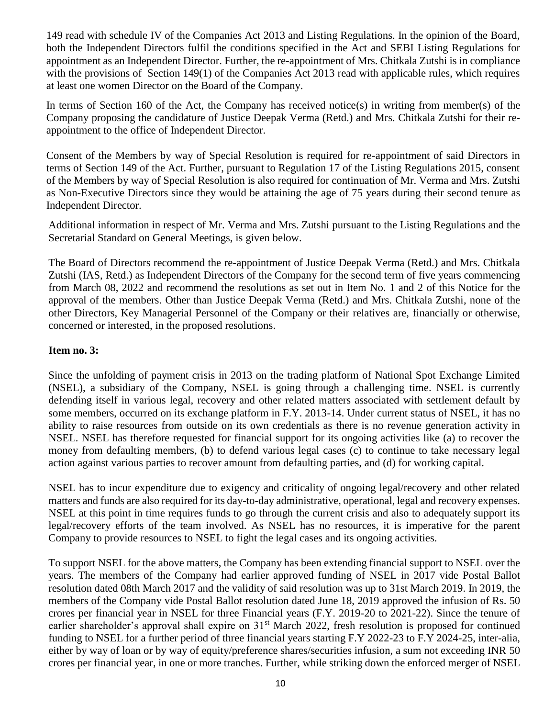149 read with schedule IV of the Companies Act 2013 and Listing Regulations. In the opinion of the Board, both the Independent Directors fulfil the conditions specified in the Act and SEBI Listing Regulations for appointment as an Independent Director. Further, the re-appointment of Mrs. Chitkala Zutshi is in compliance with the provisions of Section 149(1) of the Companies Act 2013 read with applicable rules, which requires at least one women Director on the Board of the Company.

In terms of Section 160 of the Act, the Company has received notice(s) in writing from member(s) of the Company proposing the candidature of Justice Deepak Verma (Retd.) and Mrs. Chitkala Zutshi for their reappointment to the office of Independent Director.

Consent of the Members by way of Special Resolution is required for re-appointment of said Directors in terms of Section 149 of the Act. Further, pursuant to Regulation 17 of the Listing Regulations 2015, consent of the Members by way of Special Resolution is also required for continuation of Mr. Verma and Mrs. Zutshi as Non-Executive Directors since they would be attaining the age of 75 years during their second tenure as Independent Director.

Additional information in respect of Mr. Verma and Mrs. Zutshi pursuant to the Listing Regulations and the Secretarial Standard on General Meetings, is given below.

The Board of Directors recommend the re-appointment of Justice Deepak Verma (Retd.) and Mrs. Chitkala Zutshi (IAS, Retd.) as Independent Directors of the Company for the second term of five years commencing from March 08, 2022 and recommend the resolutions as set out in Item No. 1 and 2 of this Notice for the approval of the members. Other than Justice Deepak Verma (Retd.) and Mrs. Chitkala Zutshi, none of the other Directors, Key Managerial Personnel of the Company or their relatives are, financially or otherwise, concerned or interested, in the proposed resolutions.

### **Item no. 3:**

Since the unfolding of payment crisis in 2013 on the trading platform of National Spot Exchange Limited (NSEL), a subsidiary of the Company, NSEL is going through a challenging time. NSEL is currently defending itself in various legal, recovery and other related matters associated with settlement default by some members, occurred on its exchange platform in F.Y. 2013-14. Under current status of NSEL, it has no ability to raise resources from outside on its own credentials as there is no revenue generation activity in NSEL. NSEL has therefore requested for financial support for its ongoing activities like (a) to recover the money from defaulting members, (b) to defend various legal cases (c) to continue to take necessary legal action against various parties to recover amount from defaulting parties, and (d) for working capital.

NSEL has to incur expenditure due to exigency and criticality of ongoing legal/recovery and other related matters and funds are also required for its day-to-day administrative, operational, legal and recovery expenses. NSEL at this point in time requires funds to go through the current crisis and also to adequately support its legal/recovery efforts of the team involved. As NSEL has no resources, it is imperative for the parent Company to provide resources to NSEL to fight the legal cases and its ongoing activities.

To support NSEL for the above matters, the Company has been extending financial support to NSEL over the years. The members of the Company had earlier approved funding of NSEL in 2017 vide Postal Ballot resolution dated 08th March 2017 and the validity of said resolution was up to 31st March 2019. In 2019, the members of the Company vide Postal Ballot resolution dated June 18, 2019 approved the infusion of Rs. 50 crores per financial year in NSEL for three Financial years (F.Y. 2019-20 to 2021-22). Since the tenure of earlier shareholder's approval shall expire on 31<sup>st</sup> March 2022, fresh resolution is proposed for continued funding to NSEL for a further period of three financial years starting F.Y 2022-23 to F.Y 2024-25, inter-alia, either by way of loan or by way of equity/preference shares/securities infusion, a sum not exceeding INR 50 crores per financial year, in one or more tranches. Further, while striking down the enforced merger of NSEL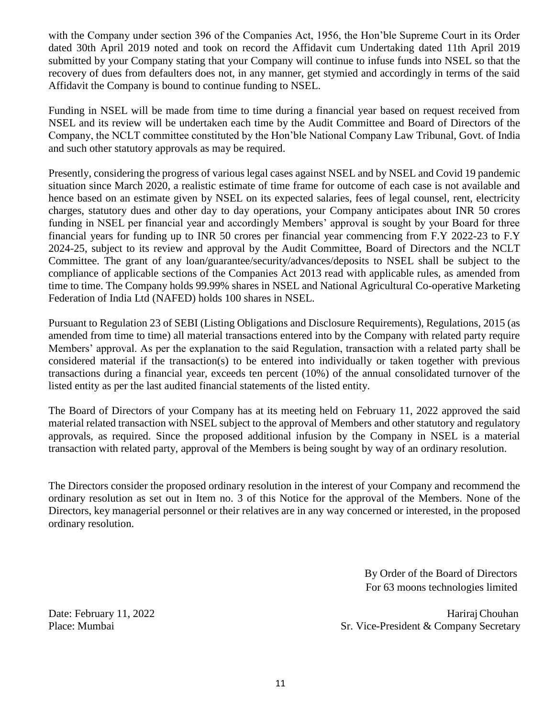with the Company under section 396 of the Companies Act, 1956, the Hon'ble Supreme Court in its Order dated 30th April 2019 noted and took on record the Affidavit cum Undertaking dated 11th April 2019 submitted by your Company stating that your Company will continue to infuse funds into NSEL so that the recovery of dues from defaulters does not, in any manner, get stymied and accordingly in terms of the said Affidavit the Company is bound to continue funding to NSEL.

Funding in NSEL will be made from time to time during a financial year based on request received from NSEL and its review will be undertaken each time by the Audit Committee and Board of Directors of the Company, the NCLT committee constituted by the Hon'ble National Company Law Tribunal, Govt. of India and such other statutory approvals as may be required.

Presently, considering the progress of various legal cases against NSEL and by NSEL and Covid 19 pandemic situation since March 2020, a realistic estimate of time frame for outcome of each case is not available and hence based on an estimate given by NSEL on its expected salaries, fees of legal counsel, rent, electricity charges, statutory dues and other day to day operations, your Company anticipates about INR 50 crores funding in NSEL per financial year and accordingly Members' approval is sought by your Board for three financial years for funding up to INR 50 crores per financial year commencing from F.Y 2022-23 to F.Y 2024-25, subject to its review and approval by the Audit Committee, Board of Directors and the NCLT Committee. The grant of any loan/guarantee/security/advances/deposits to NSEL shall be subject to the compliance of applicable sections of the Companies Act 2013 read with applicable rules, as amended from time to time. The Company holds 99.99% shares in NSEL and National Agricultural Co-operative Marketing Federation of India Ltd (NAFED) holds 100 shares in NSEL.

Pursuant to Regulation 23 of SEBI (Listing Obligations and Disclosure Requirements), Regulations, 2015 (as amended from time to time) all material transactions entered into by the Company with related party require Members' approval. As per the explanation to the said Regulation, transaction with a related party shall be considered material if the transaction(s) to be entered into individually or taken together with previous transactions during a financial year, exceeds ten percent (10%) of the annual consolidated turnover of the listed entity as per the last audited financial statements of the listed entity.

The Board of Directors of your Company has at its meeting held on February 11, 2022 approved the said material related transaction with NSEL subject to the approval of Members and other statutory and regulatory approvals, as required. Since the proposed additional infusion by the Company in NSEL is a material transaction with related party, approval of the Members is being sought by way of an ordinary resolution.

The Directors consider the proposed ordinary resolution in the interest of your Company and recommend the ordinary resolution as set out in Item no. 3 of this Notice for the approval of the Members. None of the Directors, key managerial personnel or their relatives are in any way concerned or interested, in the proposed ordinary resolution.

> By Order of the Board of Directors For 63 moons technologies limited

Date: February 11, 2022 HarirajChouhan Place: Mumbai Sr. Vice-President & Company Secretary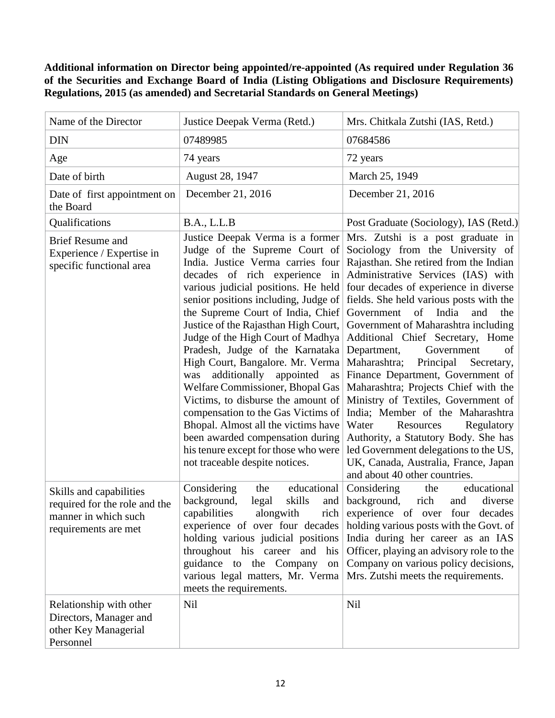**Additional information on Director being appointed/re-appointed (As required under Regulation 36 of the Securities and Exchange Board of India (Listing Obligations and Disclosure Requirements) Regulations, 2015 (as amended) and Secretarial Standards on General Meetings)**

| Name of the Director                                                                                     | Justice Deepak Verma (Retd.)                                                                                                                                                                                                                                                                                                                                                                                                                                                                                                                                                                                                                                                                                             | Mrs. Chitkala Zutshi (IAS, Retd.)                                                                                                                                                                                                                                                                                                                                                                                                                                                                                                                                                                                                                                                                                                                                                                |
|----------------------------------------------------------------------------------------------------------|--------------------------------------------------------------------------------------------------------------------------------------------------------------------------------------------------------------------------------------------------------------------------------------------------------------------------------------------------------------------------------------------------------------------------------------------------------------------------------------------------------------------------------------------------------------------------------------------------------------------------------------------------------------------------------------------------------------------------|--------------------------------------------------------------------------------------------------------------------------------------------------------------------------------------------------------------------------------------------------------------------------------------------------------------------------------------------------------------------------------------------------------------------------------------------------------------------------------------------------------------------------------------------------------------------------------------------------------------------------------------------------------------------------------------------------------------------------------------------------------------------------------------------------|
| <b>DIN</b>                                                                                               | 07489985                                                                                                                                                                                                                                                                                                                                                                                                                                                                                                                                                                                                                                                                                                                 | 07684586                                                                                                                                                                                                                                                                                                                                                                                                                                                                                                                                                                                                                                                                                                                                                                                         |
| Age                                                                                                      | 74 years                                                                                                                                                                                                                                                                                                                                                                                                                                                                                                                                                                                                                                                                                                                 | 72 years                                                                                                                                                                                                                                                                                                                                                                                                                                                                                                                                                                                                                                                                                                                                                                                         |
| Date of birth                                                                                            | August 28, 1947                                                                                                                                                                                                                                                                                                                                                                                                                                                                                                                                                                                                                                                                                                          | March 25, 1949                                                                                                                                                                                                                                                                                                                                                                                                                                                                                                                                                                                                                                                                                                                                                                                   |
| Date of first appointment on<br>the Board                                                                | December 21, 2016                                                                                                                                                                                                                                                                                                                                                                                                                                                                                                                                                                                                                                                                                                        | December 21, 2016                                                                                                                                                                                                                                                                                                                                                                                                                                                                                                                                                                                                                                                                                                                                                                                |
| Qualifications                                                                                           | B.A., L.L.B                                                                                                                                                                                                                                                                                                                                                                                                                                                                                                                                                                                                                                                                                                              | Post Graduate (Sociology), IAS (Retd.)                                                                                                                                                                                                                                                                                                                                                                                                                                                                                                                                                                                                                                                                                                                                                           |
| <b>Brief Resume and</b><br>Experience / Expertise in<br>specific functional area                         | Justice Deepak Verma is a former<br>Judge of the Supreme Court of<br>India. Justice Verma carries four<br>decades of rich experience in<br>various judicial positions. He held<br>senior positions including, Judge of<br>the Supreme Court of India, Chief<br>Justice of the Rajasthan High Court,<br>Judge of the High Court of Madhya<br>Pradesh, Judge of the Karnataka<br>High Court, Bangalore. Mr. Verma<br>additionally appointed as<br>was<br>Welfare Commissioner, Bhopal Gas<br>Victims, to disburse the amount of<br>compensation to the Gas Victims of<br>Bhopal. Almost all the victims have<br>been awarded compensation during<br>his tenure except for those who were<br>not traceable despite notices. | Mrs. Zutshi is a post graduate in<br>Sociology from the University of<br>Rajasthan. She retired from the Indian<br>Administrative Services (IAS) with<br>four decades of experience in diverse<br>fields. She held various posts with the<br>of India<br>Government<br>and<br>the<br>Government of Maharashtra including<br>Additional Chief Secretary, Home<br>Department,<br>Government<br>of<br>Maharashtra;<br>Principal<br>Secretary,<br>Finance Department, Government of<br>Maharashtra; Projects Chief with the<br>Ministry of Textiles, Government of<br>India; Member of the Maharashtra<br>Water<br>Regulatory<br>Resources<br>Authority, a Statutory Body. She has<br>led Government delegations to the US,<br>UK, Canada, Australia, France, Japan<br>and about 40 other countries. |
| Skills and capabilities<br>required for the role and the<br>manner in which such<br>requirements are met | Considering<br>educational<br>the<br>skills<br>background,<br>legal<br>and $ $<br>capabilities<br>alongwith<br>rich<br>experience of over four decades<br>holding various judicial positions<br>throughout his career and<br>his<br>guidance to the Company<br>on<br>various legal matters, Mr. Verma<br>meets the requirements.                                                                                                                                                                                                                                                                                                                                                                                         | educational<br>Considering<br>the<br>background,<br>rich<br>diverse<br>and<br>experience of over four<br>decades<br>holding various posts with the Govt. of<br>India during her career as an IAS<br>Officer, playing an advisory role to the<br>Company on various policy decisions,<br>Mrs. Zutshi meets the requirements.                                                                                                                                                                                                                                                                                                                                                                                                                                                                      |
| Relationship with other<br>Directors, Manager and<br>other Key Managerial<br>Personnel                   | Nil                                                                                                                                                                                                                                                                                                                                                                                                                                                                                                                                                                                                                                                                                                                      | Nil                                                                                                                                                                                                                                                                                                                                                                                                                                                                                                                                                                                                                                                                                                                                                                                              |